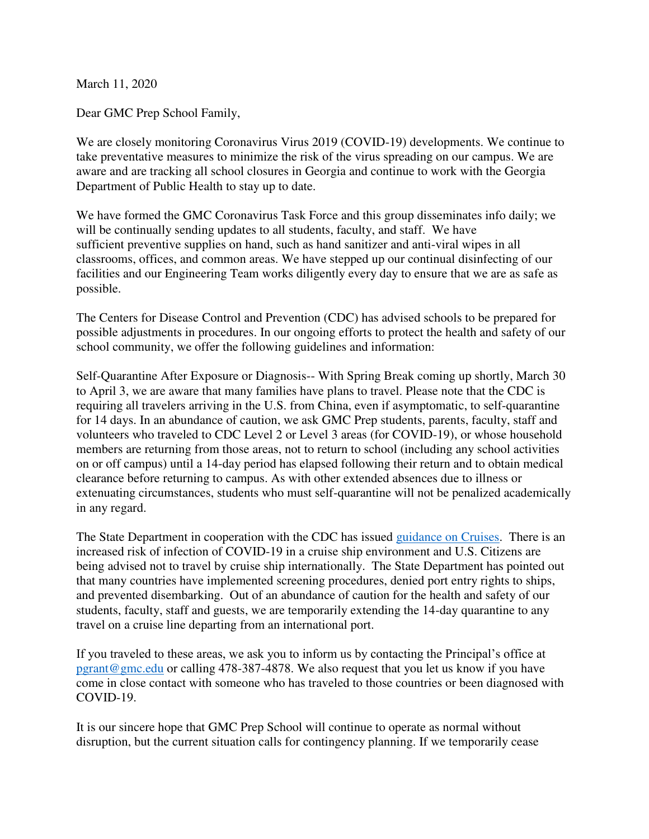March 11, 2020

Dear GMC Prep School Family,

We are closely monitoring Coronavirus Virus 2019 (COVID-19) developments. We continue to take preventative measures to minimize the risk of the virus spreading on our campus. We are aware and are tracking all school closures in Georgia and continue to work with the Georgia Department of Public Health to stay up to date.

We have formed the GMC Coronavirus Task Force and this group disseminates info daily; we will be continually sending updates to all students, faculty, and staff. We have sufficient preventive supplies on hand, such as hand sanitizer and anti-viral wipes in all classrooms, offices, and common areas. We have stepped up our continual disinfecting of our facilities and our Engineering Team works diligently every day to ensure that we are as safe as possible.

The Centers for Disease Control and Prevention (CDC) has advised schools to be prepared for possible adjustments in procedures. In our ongoing efforts to protect the health and safety of our school community, we offer the following guidelines and information:

Self-Quarantine After Exposure or Diagnosis-- With Spring Break coming up shortly, March 30 to April 3, we are aware that many families have plans to travel. Please note that the CDC is requiring all travelers arriving in the U.S. from China, even if asymptomatic, to self-quarantine for 14 days. In an abundance of caution, we ask GMC Prep students, parents, faculty, staff and volunteers who traveled to CDC Level 2 or Level 3 areas (for COVID-19), or whose household members are returning from those areas, not to return to school (including any school activities on or off campus) until a 14-day period has elapsed following their return and to obtain medical clearance before returning to campus. As with other extended absences due to illness or extenuating circumstances, students who must self-quarantine will not be penalized academically in any regard.

The State Department in cooperation with the CDC has issued [guidance on Cruises.](https://travel.state.gov/content/travel/en/international-travel/before-you-go/travelers-with-special-considerations/cruise-ship-passengers.html?fbclid=IwAR23mRlu4-382HLuSM8i0KWQBSaZ4heDniggmxR3kBR6e2EgWiKr6B0EseM) There is an increased risk of infection of COVID-19 in a cruise ship environment and U.S. Citizens are being advised not to travel by cruise ship internationally. The State Department has pointed out that many countries have implemented screening procedures, denied port entry rights to ships, and prevented disembarking. Out of an abundance of caution for the health and safety of our students, faculty, staff and guests, we are temporarily extending the 14-day quarantine to any travel on a cruise line departing from an international port.

If you traveled to these areas, we ask you to inform us by contacting the Principal's office at [pgrant@gmc.edu](mailto:pgrant@gmc.edu) or calling 478-387-4878. We also request that you let us know if you have come in close contact with someone who has traveled to those countries or been diagnosed with COVID-19.

It is our sincere hope that GMC Prep School will continue to operate as normal without disruption, but the current situation calls for contingency planning. If we temporarily cease